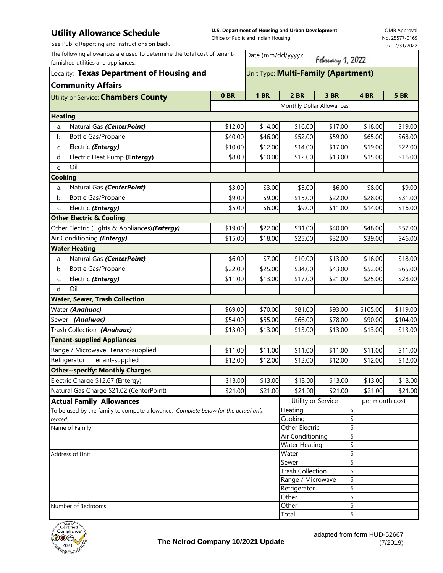## **Utility Allowance Schedule**

**U.S. Department of Housing and Urban Development**  Office of Public and Indian Housing

OMB Approval No. 25577-0169 exp.7/31/2022

| See Public Reporting and Instructions on back.                                                                  |         |                                     |                                          |                  |                | exp.7/31/2022 |  |
|-----------------------------------------------------------------------------------------------------------------|---------|-------------------------------------|------------------------------------------|------------------|----------------|---------------|--|
| The following allowances are used to determine the total cost of tenant-<br>furnished utilities and appliances. |         | Date (mm/dd/yyyy):                  |                                          | February 1, 2022 |                |               |  |
| Locality: Texas Department of Housing and                                                                       |         | Unit Type: Multi-Family (Apartment) |                                          |                  |                |               |  |
| <b>Community Affairs</b>                                                                                        |         |                                     |                                          |                  |                |               |  |
| Utility or Service: <b>Chambers County</b>                                                                      | 0BR     | <b>1 BR</b>                         | 2 BR                                     | 3 BR             | 4 BR           | <b>5 BR</b>   |  |
|                                                                                                                 |         |                                     | Monthly Dollar Allowances                |                  |                |               |  |
| <b>Heating</b>                                                                                                  |         |                                     |                                          |                  |                |               |  |
| Natural Gas (CenterPoint)<br>a.                                                                                 | \$12.00 | \$14.00                             | \$16.00                                  | \$17.00          | \$18.00        | \$19.00       |  |
| Bottle Gas/Propane<br>b.                                                                                        | \$40.00 | \$46.00                             | \$52.00                                  | \$59.00          | \$65.00        | \$68.00       |  |
| Electric (Entergy)<br>c.                                                                                        | \$10.00 | \$12.00                             | \$14.00                                  | \$17.00          | \$19.00        | \$22.00       |  |
| Electric Heat Pump (Entergy)<br>d.                                                                              | \$8.00  | \$10.00                             | \$12.00                                  | \$13.00          | \$15.00        | \$16.00       |  |
| Oil<br>e.                                                                                                       |         |                                     |                                          |                  |                |               |  |
| <b>Cooking</b>                                                                                                  |         |                                     |                                          |                  |                |               |  |
| Natural Gas (CenterPoint)<br>a.                                                                                 | \$3.00  | \$3.00                              | \$5.00                                   | \$6.00           | \$8.00         | \$9.00        |  |
| Bottle Gas/Propane<br>b.                                                                                        | \$9.00  | \$9.00                              | \$15.00                                  | \$22.00          | \$28.00        | \$31.00       |  |
| Electric (Entergy)<br>C.                                                                                        | \$5.00  | \$6.00                              | \$9.00                                   | \$11.00          | \$14.00        | \$16.00       |  |
| <b>Other Electric &amp; Cooling</b>                                                                             |         |                                     |                                          |                  |                |               |  |
| Other Electric (Lights & Appliances)(Entergy)                                                                   | \$19.00 | \$22.00                             | \$31.00                                  | \$40.00          | \$48.00        | \$57.00       |  |
| Air Conditioning (Entergy)                                                                                      | \$15.00 | \$18.00                             | \$25.00                                  | \$32.00          | \$39.00        | \$46.00       |  |
| <b>Water Heating</b>                                                                                            |         |                                     |                                          |                  |                |               |  |
| Natural Gas (CenterPoint)<br>a.                                                                                 | \$6.00  | \$7.00                              | \$10.00                                  | \$13.00          | \$16.00        | \$18.00       |  |
| Bottle Gas/Propane<br>b.                                                                                        | \$22.00 | \$25.00                             | \$34.00                                  | \$43.00          | \$52.00        | \$65.00       |  |
| Electric (Entergy)<br>C.                                                                                        | \$11.00 | \$13.00                             | \$17.00                                  | \$21.00          | \$25.00        | \$28.00       |  |
| Oil<br>d.                                                                                                       |         |                                     |                                          |                  |                |               |  |
| <b>Water, Sewer, Trash Collection</b>                                                                           |         |                                     |                                          |                  |                |               |  |
| Water (Anahuac)                                                                                                 | \$69.00 | \$70.00                             | \$81.00                                  | \$93.00          | \$105.00       | \$119.00      |  |
| Sewer (Anahuac)                                                                                                 | \$54.00 | \$55.00                             | \$66.00                                  | \$78.00          | \$90.00        | \$104.00      |  |
| Trash Collection (Anahuac)                                                                                      | \$13.00 | \$13.00                             | \$13.00                                  | \$13.00          | \$13.00        | \$13.00       |  |
| <b>Tenant-supplied Appliances</b>                                                                               |         |                                     |                                          |                  |                |               |  |
| Range / Microwave Tenant-supplied                                                                               | \$11.00 | \$11.00                             | \$11.00                                  | \$11.00          | \$11.00        | \$11.00       |  |
| Refrigerator Tenant-supplied                                                                                    | \$12.00 | \$12.00                             | \$12.00                                  | \$12.00          | \$12.00        | \$12.00       |  |
| <b>Other--specify: Monthly Charges</b>                                                                          |         |                                     |                                          |                  |                |               |  |
| Electric Charge \$12.67 (Entergy)                                                                               | \$13.00 | \$13.00                             | \$13.00                                  | \$13.00          | \$13.00        | \$13.00       |  |
| Natural Gas Charge \$21.02 (CenterPoint)                                                                        | \$21.00 | \$21.00                             | \$21.00                                  | \$21.00          | \$21.00        | \$21.00       |  |
| <b>Actual Family Allowances</b>                                                                                 |         |                                     | Utility or Service                       |                  | per month cost |               |  |
| To be used by the family to compute allowance. Complete below for the actual unit                               |         |                                     | Heating                                  |                  | \$             |               |  |
| rented.                                                                                                         |         |                                     | Cooking                                  |                  | \$             |               |  |
| Name of Family                                                                                                  |         |                                     | Other Electric                           |                  | \$             |               |  |
|                                                                                                                 |         |                                     | Air Conditioning<br><b>Water Heating</b> |                  | \$<br>\$       |               |  |
| Address of Unit                                                                                                 |         |                                     | Water                                    |                  | \$             |               |  |
|                                                                                                                 | Sewer   |                                     | \$                                       |                  |                |               |  |
|                                                                                                                 |         | <b>Trash Collection</b>             |                                          | \$               |                |               |  |
|                                                                                                                 |         |                                     | Range / Microwave                        |                  | \$             |               |  |
|                                                                                                                 |         | Refrigerator                        |                                          | \$               |                |               |  |
| Number of Bedrooms                                                                                              |         |                                     | Other<br>Other                           |                  | \$<br>\$       |               |  |
|                                                                                                                 |         | Total                               |                                          | \$               |                |               |  |